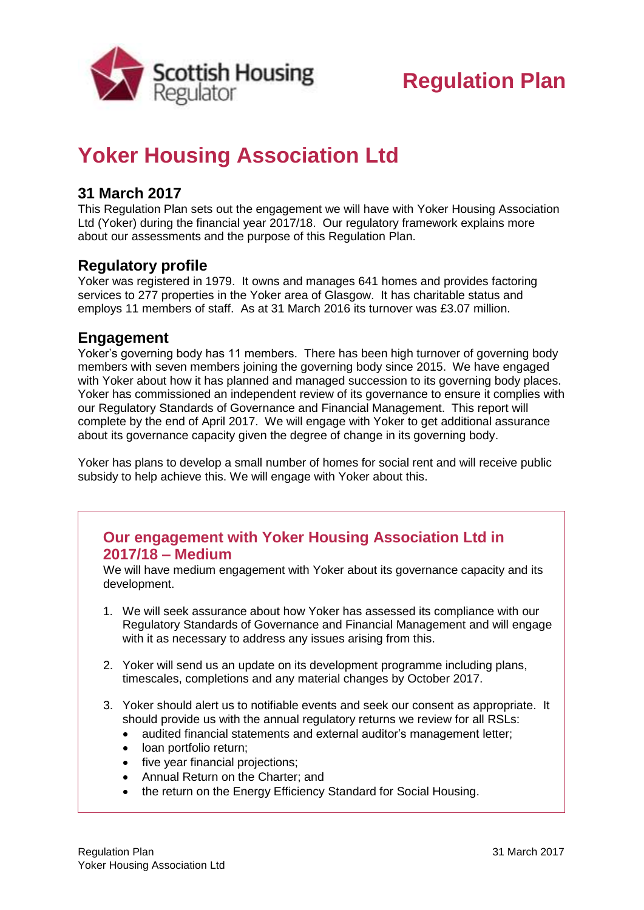

# **Regulation Plan**

## **Yoker Housing Association Ltd**

### **31 March 2017**

This Regulation Plan sets out the engagement we will have with Yoker Housing Association Ltd (Yoker) during the financial year 2017/18. Our regulatory framework explains more about our assessments and the purpose of this Regulation Plan.

#### **Regulatory profile**

Yoker was registered in 1979. It owns and manages 641 homes and provides factoring services to 277 properties in the Yoker area of Glasgow. It has charitable status and employs 11 members of staff. As at 31 March 2016 its turnover was £3.07 million.

#### **Engagement**

Yoker's governing body has 11 members. There has been high turnover of governing body members with seven members joining the governing body since 2015. We have engaged with Yoker about how it has planned and managed succession to its governing body places. Yoker has commissioned an independent review of its governance to ensure it complies with our Regulatory Standards of Governance and Financial Management. This report will complete by the end of April 2017. We will engage with Yoker to get additional assurance about its governance capacity given the degree of change in its governing body.

Yoker has plans to develop a small number of homes for social rent and will receive public subsidy to help achieve this. We will engage with Yoker about this.

### **Our engagement with Yoker Housing Association Ltd in 2017/18 – Medium**

We will have medium engagement with Yoker about its governance capacity and its development.

- 1. We will seek assurance about how Yoker has assessed its compliance with our Regulatory Standards of Governance and Financial Management and will engage with it as necessary to address any issues arising from this.
- 2. Yoker will send us an update on its development programme including plans, timescales, completions and any material changes by October 2017.
- 3. Yoker should alert us to notifiable events and seek our consent as appropriate. It should provide us with the annual regulatory returns we review for all RSLs:
	- audited financial statements and external auditor's management letter;
	- loan portfolio return;
	- five year financial projections;
	- Annual Return on the Charter; and
	- the return on the Energy Efficiency Standard for Social Housing.